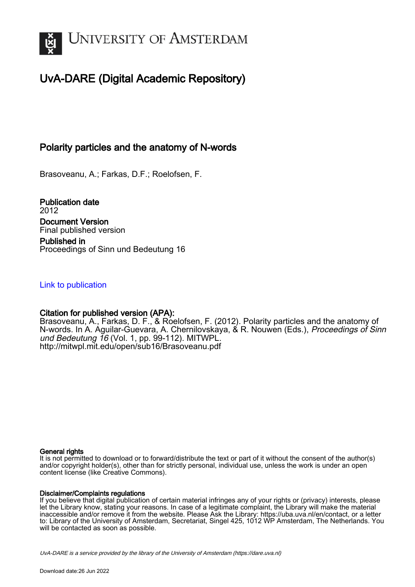

# UvA-DARE (Digital Academic Repository)

### Polarity particles and the anatomy of N-words

Brasoveanu, A.; Farkas, D.F.; Roelofsen, F.

Publication date 2012 Document Version Final published version Published in Proceedings of Sinn und Bedeutung 16

#### [Link to publication](https://dare.uva.nl/personal/pure/en/publications/polarity-particles-and-the-anatomy-of-nwords(49b0f992-35d5-43ea-8386-1b6a5dafbef1).html)

#### Citation for published version (APA):

Brasoveanu, A., Farkas, D. F., & Roelofsen, F. (2012). Polarity particles and the anatomy of N-words. In A. Aguilar-Guevara, A. Chernilovskaya, & R. Nouwen (Eds.), Proceedings of Sinn und Bedeutung 16 (Vol. 1, pp. 99-112). MITWPL. <http://mitwpl.mit.edu/open/sub16/Brasoveanu.pdf>

#### General rights

It is not permitted to download or to forward/distribute the text or part of it without the consent of the author(s) and/or copyright holder(s), other than for strictly personal, individual use, unless the work is under an open content license (like Creative Commons).

#### Disclaimer/Complaints regulations

If you believe that digital publication of certain material infringes any of your rights or (privacy) interests, please let the Library know, stating your reasons. In case of a legitimate complaint, the Library will make the material inaccessible and/or remove it from the website. Please Ask the Library: https://uba.uva.nl/en/contact, or a letter to: Library of the University of Amsterdam, Secretariat, Singel 425, 1012 WP Amsterdam, The Netherlands. You will be contacted as soon as possible.

UvA-DARE is a service provided by the library of the University of Amsterdam (http*s*://dare.uva.nl)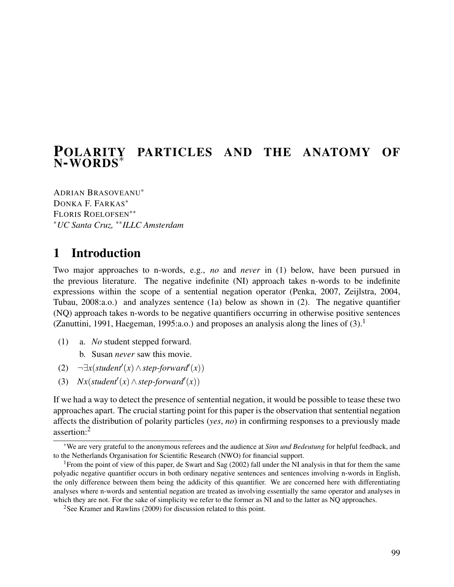# POLARITY PARTICLES AND THE ANATOMY OF <sup>N</sup>-WORDS<sup>∗</sup>

ADRIAN BRASOVEANU<sup>∗</sup> DONKA F. FARKAS<sup>∗</sup> FLORIS ROELOFSEN∗∗ <sup>∗</sup>*UC Santa Cruz,* ∗∗*ILLC Amsterdam*

# 1 Introduction

Two major approaches to n-words, e.g., *no* and *never* in (1) below, have been pursued in the previous literature. The negative indefinite (NI) approach takes n-words to be indefinite expressions within the scope of a sentential negation operator (Penka, 2007, Zeijlstra, 2004, Tubau, 2008:a.o.) and analyzes sentence (1a) below as shown in (2). The negative quantifier (NQ) approach takes n-words to be negative quantifiers occurring in otherwise positive sentences (Zanuttini, 1991, Haegeman, 1995:a.o.) and proposes an analysis along the lines of  $(3)$ .<sup>1</sup>

(1) a. *No* student stepped forward.

b. Susan *never* saw this movie.

- (2)  $\neg \exists x (student'(x) \land step-forward'(x))$
- (3)  $Nx(student'(x) \wedge step-forward'(x))$

If we had a way to detect the presence of sentential negation, it would be possible to tease these two approaches apart. The crucial starting point for this paper is the observation that sentential negation affects the distribution of polarity particles (*yes*, *no*) in confirming responses to a previously made assertion:<sup>2</sup>

<sup>∗</sup>We are very grateful to the anonymous referees and the audience at *Sinn und Bedeutung* for helpful feedback, and to the Netherlands Organisation for Scientific Research (NWO) for financial support.

<sup>&</sup>lt;sup>1</sup> From the point of view of this paper, de Swart and Sag (2002) fall under the NI analysis in that for them the same polyadic negative quantifier occurs in both ordinary negative sentences and sentences involving n-words in English, the only difference between them being the addicity of this quantifier. We are concerned here with differentiating analyses where n-words and sentential negation are treated as involving essentially the same operator and analyses in which they are not. For the sake of simplicity we refer to the former as NI and to the latter as NQ approaches.

<sup>2</sup>See Kramer and Rawlins (2009) for discussion related to this point.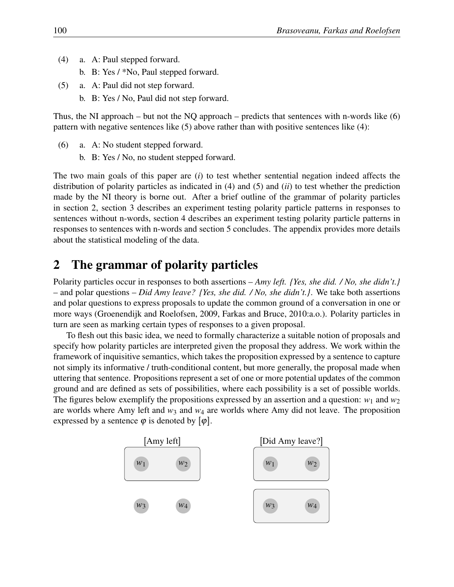- (4) a. A: Paul stepped forward.
	- b. B: Yes / \*No, Paul stepped forward.
- (5) a. A: Paul did not step forward.
	- b. B: Yes / No, Paul did not step forward.

Thus, the NI approach – but not the NQ approach – predicts that sentences with n-words like  $(6)$ pattern with negative sentences like (5) above rather than with positive sentences like (4):

- (6) a. A: No student stepped forward.
	- b. B: Yes / No, no student stepped forward.

The two main goals of this paper are (*i*) to test whether sentential negation indeed affects the distribution of polarity particles as indicated in (4) and (5) and (*ii*) to test whether the prediction made by the NI theory is borne out. After a brief outline of the grammar of polarity particles in section 2, section 3 describes an experiment testing polarity particle patterns in responses to sentences without n-words, section 4 describes an experiment testing polarity particle patterns in responses to sentences with n-words and section 5 concludes. The appendix provides more details about the statistical modeling of the data.

### 2 The grammar of polarity particles

Polarity particles occur in responses to both assertions – *Amy left. {Yes, she did. / No, she didn't.}* – and polar questions – *Did Amy leave? {Yes, she did. / No, she didn't.}*. We take both assertions and polar questions to express proposals to update the common ground of a conversation in one or more ways (Groenendijk and Roelofsen, 2009, Farkas and Bruce, 2010:a.o.). Polarity particles in turn are seen as marking certain types of responses to a given proposal.

To flesh out this basic idea, we need to formally characterize a suitable notion of proposals and specify how polarity particles are interpreted given the proposal they address. We work within the framework of inquisitive semantics, which takes the proposition expressed by a sentence to capture not simply its informative / truth-conditional content, but more generally, the proposal made when uttering that sentence. Propositions represent a set of one or more potential updates of the common ground and are defined as sets of possibilities, where each possibility is a set of possible worlds. The figures below exemplify the propositions expressed by an assertion and a question:  $w_1$  and  $w_2$ are worlds where Amy left and  $w_3$  and  $w_4$  are worlds where Amy did not leave. The proposition expressed by a sentence  $\varphi$  is denoted by  $[\varphi]$ .

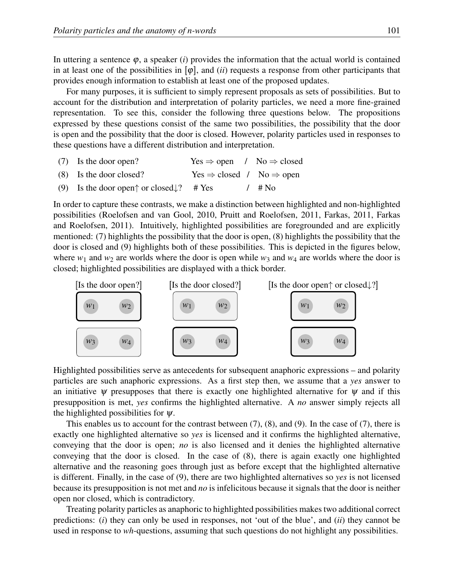In uttering a sentence  $\varphi$ , a speaker (*i*) provides the information that the actual world is contained in at least one of the possibilities in  $[\varphi]$ , and *(ii)* requests a response from other participants that provides enough information to establish at least one of the proposed updates.

For many purposes, it is sufficient to simply represent proposals as sets of possibilities. But to account for the distribution and interpretation of polarity particles, we need a more fine-grained representation. To see this, consider the following three questions below. The propositions expressed by these questions consist of the same two possibilities, the possibility that the door is open and the possibility that the door is closed. However, polarity particles used in responses to these questions have a different distribution and interpretation.

- (7) Is the door open? Yes  $\Rightarrow$  open / No  $\Rightarrow$  closed
- (8) Is the door closed? Yes  $\Rightarrow$  closed / No  $\Rightarrow$  open
- (9) Is the door open $\uparrow$  or closed $\downarrow$ ? # Yes / # No

In order to capture these contrasts, we make a distinction between highlighted and non-highlighted possibilities (Roelofsen and van Gool, 2010, Pruitt and Roelofsen, 2011, Farkas, 2011, Farkas and Roelofsen, 2011). Intuitively, highlighted possibilities are foregrounded and are explicitly mentioned: (7) highlights the possibility that the door is open, (8) highlights the possibility that the door is closed and (9) highlights both of these possibilities. This is depicted in the figures below, where  $w_1$  and  $w_2$  are worlds where the door is open while  $w_3$  and  $w_4$  are worlds where the door is closed; highlighted possibilities are displayed with a thick border.



Highlighted possibilities serve as antecedents for subsequent anaphoric expressions – and polarity particles are such anaphoric expressions. As a first step then, we assume that a *yes* answer to an initiative  $\psi$  presupposes that there is exactly one highlighted alternative for  $\psi$  and if this presupposition is met, *yes* confirms the highlighted alternative. A *no* answer simply rejects all the highlighted possibilities for  $\psi$ .

This enables us to account for the contrast between (7), (8), and (9). In the case of (7), there is exactly one highlighted alternative so *yes* is licensed and it confirms the highlighted alternative, conveying that the door is open; *no* is also licensed and it denies the highlighted alternative conveying that the door is closed. In the case of (8), there is again exactly one highlighted alternative and the reasoning goes through just as before except that the highlighted alternative is different. Finally, in the case of (9), there are two highlighted alternatives so *yes* is not licensed because its presupposition is not met and *no* is infelicitous because it signals that the door is neither open nor closed, which is contradictory.

Treating polarity particles as anaphoric to highlighted possibilities makes two additional correct predictions: (*i*) they can only be used in responses, not 'out of the blue', and (*ii*) they cannot be used in response to *wh*-questions, assuming that such questions do not highlight any possibilities.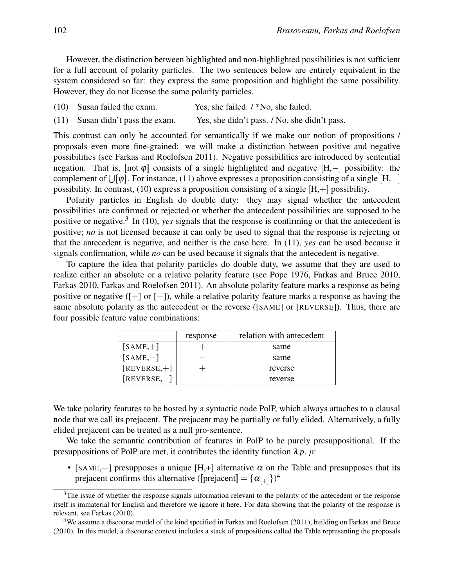However, the distinction between highlighted and non-highlighted possibilities is not sufficient for a full account of polarity particles. The two sentences below are entirely equivalent in the system considered so far: they express the same proposition and highlight the same possibility. However, they do not license the same polarity particles.

- (10) Susan failed the exam. Yes, she failed. / \*No, she failed.
- (11) Susan didn't pass the exam. Yes, she didn't pass. / No, she didn't pass.

This contrast can only be accounted for semantically if we make our notion of propositions / proposals even more fine-grained: we will make a distinction between positive and negative possibilities (see Farkas and Roelofsen 2011). Negative possibilities are introduced by sentential negation. That is, [not φ] consists of a single highlighted and negative [H,−] possibility: the complement of  $\bigcup[\varphi].$  For instance, (11) above expresses a proposition consisting of a single  $[H,-]$ possibility. In contrast, (10) express a proposition consisting of a single  $[H,+]$  possibility.

Polarity particles in English do double duty: they may signal whether the antecedent possibilities are confirmed or rejected or whether the antecedent possibilities are supposed to be positive or negative.<sup>3</sup> In (10), *yes* signals that the response is confirming or that the antecedent is positive; *no* is not licensed because it can only be used to signal that the response is rejecting or that the antecedent is negative, and neither is the case here. In (11), *yes* can be used because it signals confirmation, while *no* can be used because it signals that the antecedent is negative.

To capture the idea that polarity particles do double duty, we assume that they are used to realize either an absolute or a relative polarity feature (see Pope 1976, Farkas and Bruce 2010, Farkas 2010, Farkas and Roelofsen 2011). An absolute polarity feature marks a response as being positive or negative ([+] or [−]), while a relative polarity feature marks a response as having the same absolute polarity as the antecedent or the reverse ([SAME] or [REVERSE]). Thus, there are four possible feature value combinations:

|                | response | relation with antecedent |
|----------------|----------|--------------------------|
| $[SAME,+]$     |          | same                     |
| $[SAME, -]$    |          | same                     |
| $[REVERSE,+]$  |          | reverse                  |
| $[REVERSE, -]$ |          | reverse                  |

We take polarity features to be hosted by a syntactic node PolP, which always attaches to a clausal node that we call its prejacent. The prejacent may be partially or fully elided. Alternatively, a fully elided prejacent can be treated as a null pro-sentence.

We take the semantic contribution of features in PolP to be purely presuppositional. If the presuppositions of PolP are met, it contributes the identity function  $\lambda p$ . *p*:

• [SAME, +] presupposes a unique [H, +] alternative  $\alpha$  on the Table and presupposes that its prejacent confirms this alternative ([prejacent] =  $\{\alpha_{[+]}\}^4$ 

 $3$ The issue of whether the response signals information relevant to the polarity of the antecedent or the response itself is immaterial for English and therefore we ignore it here. For data showing that the polarity of the response is relevant, see Farkas (2010).

<sup>4</sup>We assume a discourse model of the kind specified in Farkas and Roelofsen (2011), building on Farkas and Bruce (2010). In this model, a discourse context includes a stack of propositions called the Table representing the proposals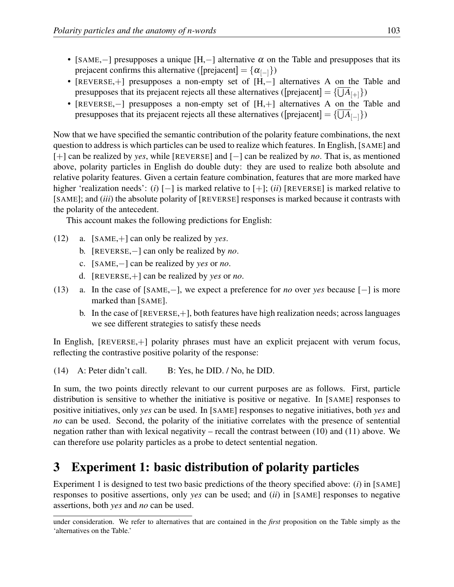- [SAME,–] presupposes a unique [H,–] alternative  $\alpha$  on the Table and presupposes that its prejacent confirms this alternative ([prejacent] =  $\{\alpha_{\lceil -1}\}\$ )
- [REVERSE,+] presupposes a non-empty set of [H,−] alternatives A on the Table and presupposes that its prejacent rejects all these alternatives ([prejacent] = { $\bigcup A_{[+]}$ })
- [REVERSE,−] presupposes a non-empty set of [H,+] alternatives A on the Table and presupposes that its prejacent rejects all these alternatives ( $[prejacent] = {\bigcup A_{|-}}$ )

Now that we have specified the semantic contribution of the polarity feature combinations, the next question to address is which particles can be used to realize which features. In English, [SAME] and [+] can be realized by *yes*, while [REVERSE] and [−] can be realized by *no*. That is, as mentioned above, polarity particles in English do double duty: they are used to realize both absolute and relative polarity features. Given a certain feature combination, features that are more marked have higher 'realization needs': (*i*) [−] is marked relative to [+]; (*ii*) [REVERSE] is marked relative to [SAME]; and (*iii*) the absolute polarity of [REVERSE] responses is marked because it contrasts with the polarity of the antecedent.

This account makes the following predictions for English:

- (12) a. [SAME,+] can only be realized by *yes*.
	- b. [REVERSE,−] can only be realized by *no*.
	- c. [SAME,−] can be realized by *yes* or *no*.
	- d. [REVERSE,+] can be realized by *yes* or *no*.
- (13) a. In the case of [SAME,−], we expect a preference for *no* over *yes* because [−] is more marked than [SAME].
	- b. In the case of [REVERSE,+], both features have high realization needs; across languages we see different strategies to satisfy these needs

In English, [REVERSE,+] polarity phrases must have an explicit prejacent with verum focus, reflecting the contrastive positive polarity of the response:

(14) A: Peter didn't call. B: Yes, he DID. / No, he DID.

In sum, the two points directly relevant to our current purposes are as follows. First, particle distribution is sensitive to whether the initiative is positive or negative. In [SAME] responses to positive initiatives, only *yes* can be used. In [SAME] responses to negative initiatives, both *yes* and *no* can be used. Second, the polarity of the initiative correlates with the presence of sentential negation rather than with lexical negativity – recall the contrast between (10) and (11) above. We can therefore use polarity particles as a probe to detect sentential negation.

# 3 Experiment 1: basic distribution of polarity particles

Experiment 1 is designed to test two basic predictions of the theory specified above: (*i*) in [SAME] responses to positive assertions, only *yes* can be used; and (*ii*) in [SAME] responses to negative assertions, both *yes* and *no* can be used.

under consideration. We refer to alternatives that are contained in the *first* proposition on the Table simply as the 'alternatives on the Table.'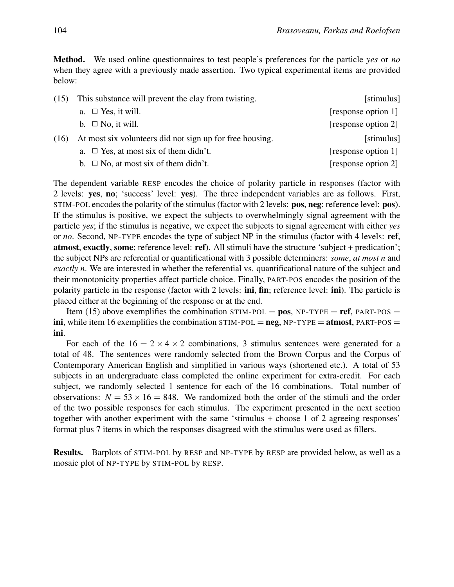Method. We used online questionnaires to test people's preferences for the particle *yes* or *no* when they agree with a previously made assertion. Two typical experimental items are provided below:

| (15) | This substance will prevent the clay from twisting.      | [stimulus]          |
|------|----------------------------------------------------------|---------------------|
|      | a. $\Box$ Yes, it will.                                  | [response option 1] |
|      | b. $\Box$ No, it will.                                   | [response option 2] |
| (16) | At most six volunteers did not sign up for free housing. | [stimulus]          |
|      | a. $\Box$ Yes, at most six of them didn't.               | [response option 1] |
|      | b. $\Box$ No, at most six of them didn't.                | [response option 2] |

The dependent variable RESP encodes the choice of polarity particle in responses (factor with 2 levels: yes, no; 'success' level: yes). The three independent variables are as follows. First, STIM-POL encodes the polarity of the stimulus (factor with 2 levels: pos, neg; reference level: pos). If the stimulus is positive, we expect the subjects to overwhelmingly signal agreement with the particle *yes*; if the stimulus is negative, we expect the subjects to signal agreement with either *yes* or *no*. Second, NP-TYPE encodes the type of subject NP in the stimulus (factor with 4 levels: ref, atmost, exactly, some; reference level: ref). All stimuli have the structure 'subject + predication'; the subject NPs are referential or quantificational with 3 possible determiners: *some*, *at most n* and *exactly n*. We are interested in whether the referential vs. quantificational nature of the subject and their monotonicity properties affect particle choice. Finally, PART-POS encodes the position of the polarity particle in the response (factor with 2 levels: ini, fin; reference level: ini). The particle is placed either at the beginning of the response or at the end.

Item (15) above exemplifies the combination STIM-POL = pos, NP-TYPE = ref, PART-POS = ini, while item 16 exemplifies the combination  $STIM-POL = neg$ ,  $NP-TYPE = atmost$ ,  $PART-POS =$ ini.

For each of the  $16 = 2 \times 4 \times 2$  combinations, 3 stimulus sentences were generated for a total of 48. The sentences were randomly selected from the Brown Corpus and the Corpus of Contemporary American English and simplified in various ways (shortened etc.). A total of 53 subjects in an undergraduate class completed the online experiment for extra-credit. For each subject, we randomly selected 1 sentence for each of the 16 combinations. Total number of observations:  $N = 53 \times 16 = 848$ . We randomized both the order of the stimuli and the order of the two possible responses for each stimulus. The experiment presented in the next section together with another experiment with the same 'stimulus + choose 1 of 2 agreeing responses' format plus 7 items in which the responses disagreed with the stimulus were used as fillers.

Results. Barplots of STIM-POL by RESP and NP-TYPE by RESP are provided below, as well as a mosaic plot of NP-TYPE by STIM-POL by RESP.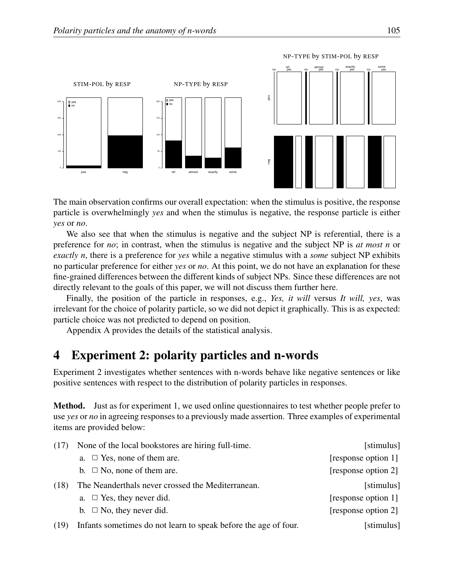

The main observation confirms our overall expectation: when the stimulus is positive, the response particle is overwhelmingly *yes* and when the stimulus is negative, the response particle is either *yes* or *no*.

We also see that when the stimulus is negative and the subject NP is referential, there is a preference for *no*; in contrast, when the stimulus is negative and the subject NP is *at most n* or *exactly n*, there is a preference for *yes* while a negative stimulus with a *some* subject NP exhibits no particular preference for either *yes* or *no*. At this point, we do not have an explanation for these fine-grained differences between the different kinds of subject NPs. Since these differences are not directly relevant to the goals of this paper, we will not discuss them further here.

Finally, the position of the particle in responses, e.g., *Yes, it will* versus *It will, yes*, was irrelevant for the choice of polarity particle, so we did not depict it graphically. This is as expected: particle choice was not predicted to depend on position.

Appendix A provides the details of the statistical analysis.

## 4 Experiment 2: polarity particles and n-words

Experiment 2 investigates whether sentences with n-words behave like negative sentences or like positive sentences with respect to the distribution of polarity particles in responses.

Method. Just as for experiment 1, we used online questionnaires to test whether people prefer to use *yes* or *no* in agreeing responses to a previously made assertion. Three examples of experimental items are provided below:

| (17) | None of the local bookstores are hiring full-time.              | [stimulus]          |
|------|-----------------------------------------------------------------|---------------------|
|      | a. $\Box$ Yes, none of them are.                                | [response option 1] |
|      | b. $\Box$ No, none of them are.                                 | [response option 2] |
| (18) | The Neanderthals never crossed the Mediterranean.               | [stimulus]          |
|      | a. $\Box$ Yes, they never did.                                  | [response option 1] |
|      | b. $\Box$ No, they never did.                                   | [response option 2] |
| (19) | Infants sometimes do not learn to speak before the age of four. | [stimulus]          |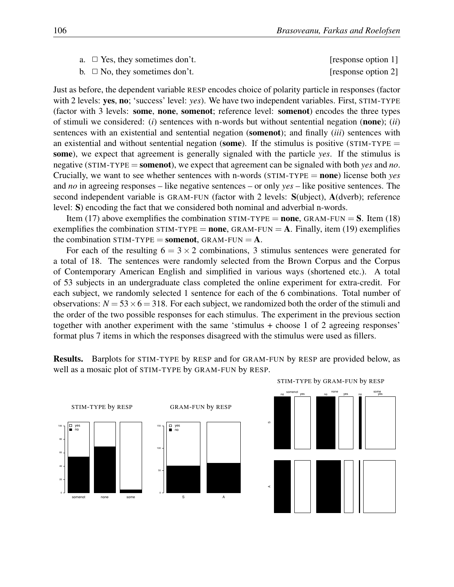| a. $\Box$ Yes, they sometimes don't. | [response option 1] |
|--------------------------------------|---------------------|
|--------------------------------------|---------------------|

b.  $\Box$  No, they sometimes don't. [response option 2]

Just as before, the dependent variable RESP encodes choice of polarity particle in responses (factor with 2 levels: yes, no; 'success' level: *yes*). We have two independent variables. First, STIM-TYPE (factor with 3 levels: some, none, somenot; reference level: somenot) encodes the three types of stimuli we considered: (*i*) sentences with n-words but without sentential negation (none); (*ii*) sentences with an existential and sentential negation (somenot); and finally (*iii*) sentences with an existential and without sentential negation (some). If the stimulus is positive ( $STIM-TYPE =$ some), we expect that agreement is generally signaled with the particle *yes*. If the stimulus is negative (STIM-TYPE = somenot), we expect that agreement can be signaled with both *yes* and *no*. Crucially, we want to see whether sentences with n-words (STIM-TYPE = none) license both *yes* and *no* in agreeing responses – like negative sentences – or only *yes* – like positive sentences. The second independent variable is GRAM-FUN (factor with 2 levels: S(ubject), A(dverb); reference level: S) encoding the fact that we considered both nominal and adverbial n-words.

Item (17) above exemplifies the combination STIM-TYPE = none, GRAM-FUN =  $S$ . Item (18) exemplifies the combination  $STIM-TYPE = none$ ,  $GRAM-FUN = A$ . Finally, item (19) exemplifies the combination STIM-TYPE = **somenot**, GRAM-FUN =  $\bf{A}$ .

For each of the resulting  $6 = 3 \times 2$  combinations, 3 stimulus sentences were generated for a total of 18. The sentences were randomly selected from the Brown Corpus and the Corpus of Contemporary American English and simplified in various ways (shortened etc.). A total of 53 subjects in an undergraduate class completed the online experiment for extra-credit. For each subject, we randomly selected 1 sentence for each of the 6 combinations. Total number of observations:  $N = 53 \times 6 = 318$ . For each subject, we randomized both the order of the stimuli and the order of the two possible responses for each stimulus. The experiment in the previous section together with another experiment with the same 'stimulus + choose 1 of 2 agreeing responses' format plus 7 items in which the responses disagreed with the stimulus were used as fillers.

Results. Barplots for STIM-TYPE by RESP and for GRAM-FUN by RESP are provided below, as well as a mosaic plot of STIM-TYPE by GRAM-FUN by RESP.



STIM-TYPE by GRAM-FUN by RESP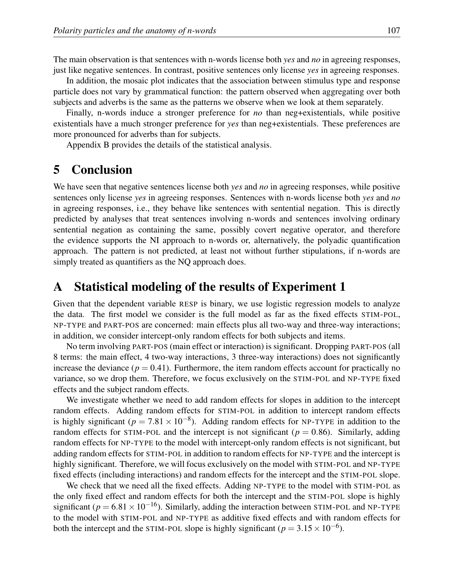The main observation is that sentences with n-words license both *yes* and *no* in agreeing responses, just like negative sentences. In contrast, positive sentences only license *yes* in agreeing responses.

In addition, the mosaic plot indicates that the association between stimulus type and response particle does not vary by grammatical function: the pattern observed when aggregating over both subjects and adverbs is the same as the patterns we observe when we look at them separately.

Finally, n-words induce a stronger preference for *no* than neg+existentials, while positive existentials have a much stronger preference for *yes* than neg+existentials. These preferences are more pronounced for adverbs than for subjects.

Appendix B provides the details of the statistical analysis.

# 5 Conclusion

We have seen that negative sentences license both *yes* and *no* in agreeing responses, while positive sentences only license *yes* in agreeing responses. Sentences with n-words license both *yes* and *no* in agreeing responses, i.e., they behave like sentences with sentential negation. This is directly predicted by analyses that treat sentences involving n-words and sentences involving ordinary sentential negation as containing the same, possibly covert negative operator, and therefore the evidence supports the NI approach to n-words or, alternatively, the polyadic quantification approach. The pattern is not predicted, at least not without further stipulations, if n-words are simply treated as quantifiers as the NQ approach does.

### A Statistical modeling of the results of Experiment 1

Given that the dependent variable RESP is binary, we use logistic regression models to analyze the data. The first model we consider is the full model as far as the fixed effects STIM-POL, NP-TYPE and PART-POS are concerned: main effects plus all two-way and three-way interactions; in addition, we consider intercept-only random effects for both subjects and items.

No term involving PART-POS (main effect or interaction) is significant. Dropping PART-POS (all 8 terms: the main effect, 4 two-way interactions, 3 three-way interactions) does not significantly increase the deviance  $(p = 0.41)$ . Furthermore, the item random effects account for practically no variance, so we drop them. Therefore, we focus exclusively on the STIM-POL and NP-TYPE fixed effects and the subject random effects.

We investigate whether we need to add random effects for slopes in addition to the intercept random effects. Adding random effects for STIM-POL in addition to intercept random effects is highly significant ( $p = 7.81 \times 10^{-8}$ ). Adding random effects for NP-TYPE in addition to the random effects for STIM-POL and the intercept is not significant ( $p = 0.86$ ). Similarly, adding random effects for NP-TYPE to the model with intercept-only random effects is not significant, but adding random effects for STIM-POL in addition to random effects for NP-TYPE and the intercept is highly significant. Therefore, we will focus exclusively on the model with STIM-POL and NP-TYPE fixed effects (including interactions) and random effects for the intercept and the STIM-POL slope.

We check that we need all the fixed effects. Adding NP-TYPE to the model with STIM-POL as the only fixed effect and random effects for both the intercept and the STIM-POL slope is highly significant ( $p = 6.81 \times 10^{-16}$ ). Similarly, adding the interaction between STIM-POL and NP-TYPE to the model with STIM-POL and NP-TYPE as additive fixed effects and with random effects for both the intercept and the STIM-POL slope is highly significant ( $p = 3.15 \times 10^{-6}$ ).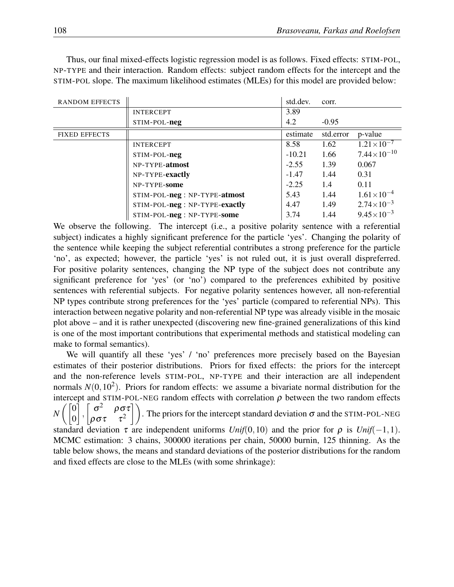Thus, our final mixed-effects logistic regression model is as follows. Fixed effects: STIM-POL, NP-TYPE and their interaction. Random effects: subject random effects for the intercept and the STIM-POL slope. The maximum likelihood estimates (MLEs) for this model are provided below:

| <b>RANDOM EFFECTS</b> |                                | std.dev. | corr.     |                       |
|-----------------------|--------------------------------|----------|-----------|-----------------------|
|                       | <b>INTERCEPT</b>               | 3.89     |           |                       |
|                       | STIM-POL-neg                   | 4.2      | $-0.95$   |                       |
| <b>FIXED EFFECTS</b>  |                                | estimate | std.error | p-value               |
|                       | <b>INTERCEPT</b>               | 8.58     | 1.62      | $1.21 \times 10^{-7}$ |
|                       | STIM-POL-neg                   | $-10.21$ | 1.66      | $7.44\times10^{-10}$  |
|                       | NP-TYPE-atmost                 | $-2.55$  | 1.39      | 0.067                 |
|                       | NP-TYPE-exactly                | $-1.47$  | 1.44      | 0.31                  |
|                       | NP-TYPE-some                   | $-2.25$  | 1.4       | 0.11                  |
|                       | STIM-POL-neg : NP-TYPE-atmost  | 5.43     | 1.44      | $1.61\times10^{-4}$   |
|                       | STIM-POL-neg : NP-TYPE-exactly | 4.47     | 1.49      | $2.74\times10^{-3}$   |
|                       | STIM-POL-neg: NP-TYPE-some     | 3.74     | 1.44      | $9.45 \times 10^{-3}$ |

We observe the following. The intercept (i.e., a positive polarity sentence with a referential subject) indicates a highly significant preference for the particle 'yes'. Changing the polarity of the sentence while keeping the subject referential contributes a strong preference for the particle 'no', as expected; however, the particle 'yes' is not ruled out, it is just overall dispreferred. For positive polarity sentences, changing the NP type of the subject does not contribute any significant preference for 'yes' (or 'no') compared to the preferences exhibited by positive sentences with referential subjects. For negative polarity sentences however, all non-referential NP types contribute strong preferences for the 'yes' particle (compared to referential NPs). This interaction between negative polarity and non-referential NP type was already visible in the mosaic plot above – and it is rather unexpected (discovering new fine-grained generalizations of this kind is one of the most important contributions that experimental methods and statistical modeling can make to formal semantics).

We will quantify all these 'yes' / 'no' preferences more precisely based on the Bayesian estimates of their posterior distributions. Priors for fixed effects: the priors for the intercept and the non-reference levels STIM-POL, NP-TYPE and their interaction are all independent normals  $N(0, 10^2)$ . Priors for random effects: we assume a bivariate normal distribution for the intercept and STIM-POL-NEG random effects with correlation  $\rho$  between the two random effects *N*  $\sqrt{0}$ 0 ,  $\lceil$  $\sigma^2$  $\left| \rho \frac{\sigma \tau}{\tau^2} \right|$  $|\rho \sigma \tau$ . The priors for the intercept standard deviation  $\sigma$  and the STIM-POL-NEG standard deviation  $\tau$  are independent uniforms *Unif*(0,10) and the prior for  $\rho$  is *Unif*(−1,1). MCMC estimation: 3 chains, 300000 iterations per chain, 50000 burnin, 125 thinning. As the table below shows, the means and standard deviations of the posterior distributions for the random and fixed effects are close to the MLEs (with some shrinkage):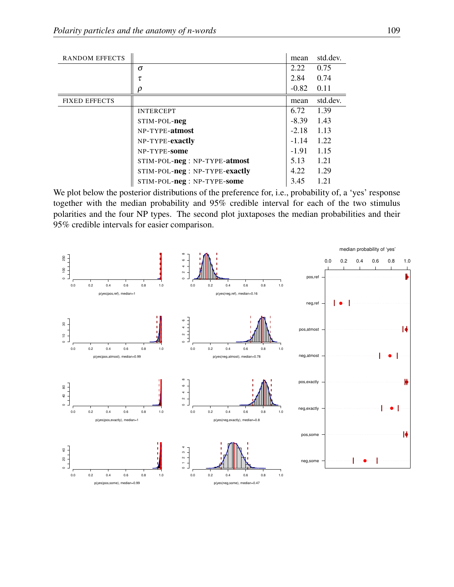| <b>RANDOM EFFECTS</b> |                                | mean    | std.dev. |
|-----------------------|--------------------------------|---------|----------|
|                       | $\sigma$                       | 2.22    | 0.75     |
|                       | τ                              | 2.84    | 0.74     |
|                       | ρ                              | $-0.82$ | 0.11     |
| <b>FIXED EFFECTS</b>  |                                | mean    | std.dev. |
|                       | <b>INTERCEPT</b>               | 6.72    | 1.39     |
|                       | STIM-POL-neg                   | $-8.39$ | 1.43     |
|                       | NP-TYPE-atmost                 | $-2.18$ | 1.13     |
|                       | NP-TYPE-exactly                | $-1.14$ | 1.22     |
|                       | NP-TYPE-some                   | $-1.91$ | 1.15     |
|                       | STIM-POL-neg : NP-TYPE-atmost  | 5.13    | 1.21     |
|                       | STIM-POL-neg : NP-TYPE-exactly | 4.22    | 1.29     |
|                       | STIM-POL-neg: NP-TYPE-some     | 3.45    | 1.21     |

We plot below the posterior distributions of the preference for, i.e., probability of, a 'yes' response together with the median probability and 95% credible interval for each of the two stimulus polarities and the four NP types. The second plot juxtaposes the median probabilities and their 95% credible intervals for easier comparison.

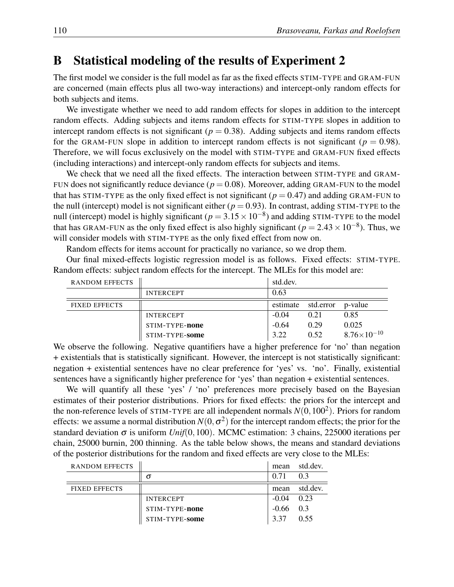### B Statistical modeling of the results of Experiment 2

The first model we consider is the full model as far as the fixed effects STIM-TYPE and GRAM-FUN are concerned (main effects plus all two-way interactions) and intercept-only random effects for both subjects and items.

We investigate whether we need to add random effects for slopes in addition to the intercept random effects. Adding subjects and items random effects for STIM-TYPE slopes in addition to intercept random effects is not significant ( $p = 0.38$ ). Adding subjects and items random effects for the GRAM-FUN slope in addition to intercept random effects is not significant ( $p = 0.98$ ). Therefore, we will focus exclusively on the model with STIM-TYPE and GRAM-FUN fixed effects (including interactions) and intercept-only random effects for subjects and items.

We check that we need all the fixed effects. The interaction between STIM-TYPE and GRAM-FUN does not significantly reduce deviance  $(p = 0.08)$ . Moreover, adding GRAM-FUN to the model that has STIM-TYPE as the only fixed effect is not significant ( $p = 0.47$ ) and adding GRAM-FUN to the null (intercept) model is not significant either ( $p = 0.93$ ). In contrast, adding STIM-TYPE to the null (intercept) model is highly significant ( $p = 3.15 \times 10^{-8}$ ) and adding STIM-TYPE to the model that has GRAM-FUN as the only fixed effect is also highly significant ( $p = 2.43 \times 10^{-8}$ ). Thus, we will consider models with STIM-TYPE as the only fixed effect from now on.

Random effects for items account for practically no variance, so we drop them.

Our final mixed-effects logistic regression model is as follows. Fixed effects: STIM-TYPE. Random effects: subject random effects for the intercept. The MLEs for this model are:

| <b>RANDOM EFFECTS</b> |                  | std.dev. |           |                        |
|-----------------------|------------------|----------|-----------|------------------------|
|                       | <b>INTERCEPT</b> | 0.63     |           |                        |
| <b>FIXED EFFECTS</b>  |                  | estimate | std.error | p-value                |
|                       | <b>INTERCEPT</b> | $-0.04$  | 0.21      | 0.85                   |
|                       | STIM-TYPE-none   | $-0.64$  | 0.29      | 0.025                  |
|                       | STIM-TYPE-some   | 3.22     | 0.52      | $8.76 \times 10^{-10}$ |

We observe the following. Negative quantifiers have a higher preference for 'no' than negation + existentials that is statistically significant. However, the intercept is not statistically significant: negation + existential sentences have no clear preference for 'yes' vs. 'no'. Finally, existential sentences have a significantly higher preference for 'yes' than negation + existential sentences.

We will quantify all these 'yes' / 'no' preferences more precisely based on the Bayesian estimates of their posterior distributions. Priors for fixed effects: the priors for the intercept and the non-reference levels of STIM-TYPE are all independent normals  $N(0, 100^2)$ . Priors for random effects: we assume a normal distribution  $N(0, \sigma^2)$  for the intercept random effects; the prior for the standard deviation  $\sigma$  is uniform *Unif*(0,100). MCMC estimation: 3 chains, 225000 iterations per chain, 25000 burnin, 200 thinning. As the table below shows, the means and standard deviations of the posterior distributions for the random and fixed effects are very close to the MLEs:

| <b>RANDOM EFFECTS</b> |                  | mean        | std.dev. |
|-----------------------|------------------|-------------|----------|
|                       | σ                | 0.71        | 03       |
| <b>FIXED EFFECTS</b>  |                  | mean        | std.dev. |
|                       | <b>INTERCEPT</b> | $-0.04$     | 0.23     |
|                       | STIM-TYPE-none   | $-0.66$ 0.3 |          |
|                       | STIM-TYPE-some   | 3 3 7       | 0.55     |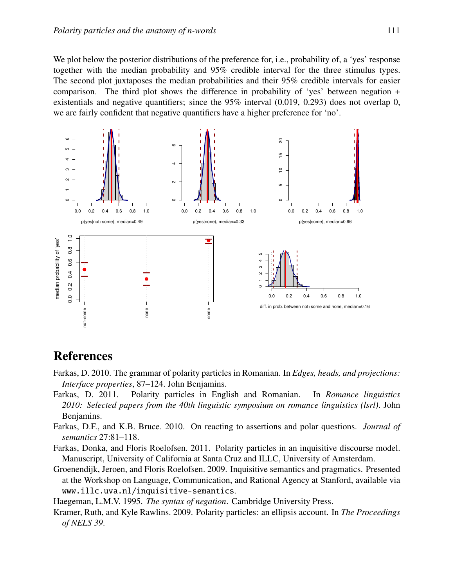We plot below the posterior distributions of the preference for, i.e., probability of, a 'yes' response together with the median probability and 95% credible interval for the three stimulus types. The second plot juxtaposes the median probabilities and their 95% credible intervals for easier comparison. The third plot shows the difference in probability of 'yes' between negation + existentials and negative quantifiers; since the  $95\%$  interval  $(0.019, 0.293)$  does not overlap 0, we are fairly confident that negative quantifiers have a higher preference for 'no'.



# References

- Farkas, D. 2010. The grammar of polarity particles in Romanian. In *Edges, heads, and projections: Interface properties*, 87–124. John Benjamins.
- Farkas, D. 2011. Polarity particles in English and Romanian. In *Romance linguistics 2010: Selected papers from the 40th linguistic symposium on romance linguistics (lsrl)*. John Benjamins.
- Farkas, D.F., and K.B. Bruce. 2010. On reacting to assertions and polar questions. *Journal of semantics* 27:81–118.
- Farkas, Donka, and Floris Roelofsen. 2011. Polarity particles in an inquisitive discourse model. Manuscript, University of California at Santa Cruz and ILLC, University of Amsterdam.
- Groenendijk, Jeroen, and Floris Roelofsen. 2009. Inquisitive semantics and pragmatics. Presented at the Workshop on Language, Communication, and Rational Agency at Stanford, available via www.illc.uva.nl/inquisitive-semantics.
- Haegeman, L.M.V. 1995. *The syntax of negation*. Cambridge University Press.
- Kramer, Ruth, and Kyle Rawlins. 2009. Polarity particles: an ellipsis account. In *The Proceedings of NELS 39*.